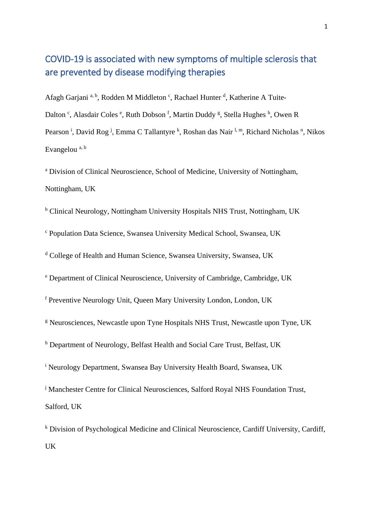# COVID-19 is associated with new symptoms of multiple sclerosis that are prevented by disease modifying therapies

Afagh Garjani<sup>a, b</sup>, Rodden M Middleton<sup>c</sup>, Rachael Hunter<sup>d</sup>, Katherine A Tuite-Dalton<sup>c</sup>, Alasdair Coles<sup>e</sup>, Ruth Dobson<sup>f</sup>, Martin Duddy<sup>g</sup>, Stella Hughes<sup>h</sup>, Owen R Pearson<sup>i</sup>, David Rog<sup>j</sup>, Emma C Tallantyre <sup>k</sup>, Roshan das Nair<sup>1, m</sup>, Richard Nicholas <sup>n</sup>, Nikos Evangelou a, b

<sup>a</sup> Division of Clinical Neuroscience, School of Medicine, University of Nottingham, Nottingham, UK

<sup>b</sup> Clinical Neurology, Nottingham University Hospitals NHS Trust, Nottingham, UK

<sup>c</sup> Population Data Science, Swansea University Medical School, Swansea, UK

<sup>d</sup> College of Health and Human Science, Swansea University, Swansea, UK

<sup>e</sup> Department of Clinical Neuroscience, University of Cambridge, Cambridge, UK

<sup>f</sup> Preventive Neurology Unit, Queen Mary University London, London, UK

<sup>g</sup> Neurosciences, Newcastle upon Tyne Hospitals NHS Trust, Newcastle upon Tyne, UK

<sup>h</sup> Department of Neurology, Belfast Health and Social Care Trust, Belfast, UK

<sup>i</sup> Neurology Department, Swansea Bay University Health Board, Swansea, UK

<sup>j</sup> Manchester Centre for Clinical Neurosciences, Salford Royal NHS Foundation Trust, Salford, UK

 $k$  Division of Psychological Medicine and Clinical Neuroscience, Cardiff University, Cardiff, UK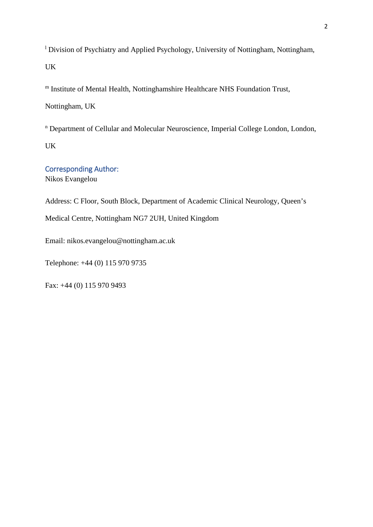<sup>1</sup> Division of Psychiatry and Applied Psychology, University of Nottingham, Nottingham, UK

<sup>m</sup> Institute of Mental Health, Nottinghamshire Healthcare NHS Foundation Trust,

Nottingham, UK

<sup>n</sup> Department of Cellular and Molecular Neuroscience, Imperial College London, London, UK

Corresponding Author: Nikos Evangelou

Address: C Floor, South Block, Department of Academic Clinical Neurology, Queen's

Medical Centre, Nottingham NG7 2UH, United Kingdom

Email: nikos.evangelou@nottingham.ac.uk

Telephone: +44 (0) 115 970 9735

Fax: +44 (0) 115 970 9493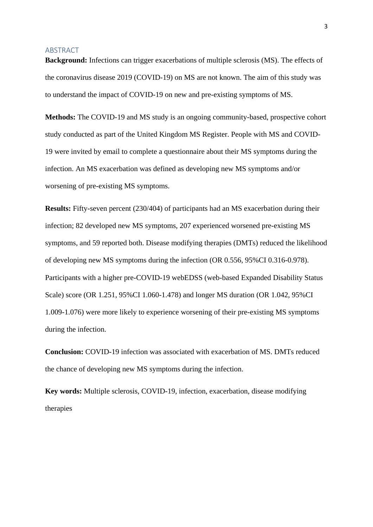#### ABSTRACT

**Background:** Infections can trigger exacerbations of multiple sclerosis (MS). The effects of the coronavirus disease 2019 (COVID-19) on MS are not known. The aim of this study was to understand the impact of COVID-19 on new and pre-existing symptoms of MS.

**Methods:** The COVID-19 and MS study is an ongoing community-based, prospective cohort study conducted as part of the United Kingdom MS Register. People with MS and COVID-19 were invited by email to complete a questionnaire about their MS symptoms during the infection. An MS exacerbation was defined as developing new MS symptoms and/or worsening of pre-existing MS symptoms.

**Results:** Fifty-seven percent (230/404) of participants had an MS exacerbation during their infection; 82 developed new MS symptoms, 207 experienced worsened pre-existing MS symptoms, and 59 reported both. Disease modifying therapies (DMTs) reduced the likelihood of developing new MS symptoms during the infection (OR 0.556, 95%CI 0.316-0.978). Participants with a higher pre-COVID-19 webEDSS (web-based Expanded Disability Status Scale) score (OR 1.251, 95%CI 1.060-1.478) and longer MS duration (OR 1.042, 95%CI 1.009-1.076) were more likely to experience worsening of their pre-existing MS symptoms during the infection.

**Conclusion:** COVID-19 infection was associated with exacerbation of MS. DMTs reduced the chance of developing new MS symptoms during the infection.

**Key words:** Multiple sclerosis, COVID-19, infection, exacerbation, disease modifying therapies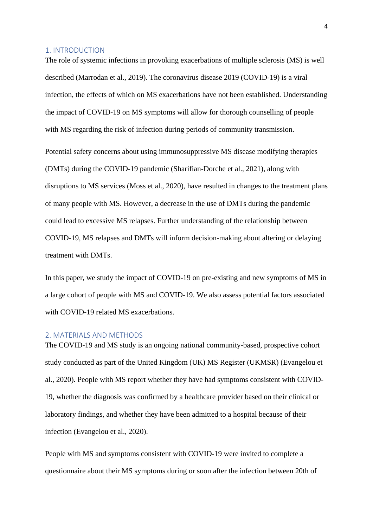#### 1. INTRODUCTION

The role of systemic infections in provoking exacerbations of multiple sclerosis (MS) is well described (Marrodan et al., 2019). The coronavirus disease 2019 (COVID-19) is a viral infection, the effects of which on MS exacerbations have not been established. Understanding the impact of COVID-19 on MS symptoms will allow for thorough counselling of people with MS regarding the risk of infection during periods of community transmission.

Potential safety concerns about using immunosuppressive MS disease modifying therapies (DMTs) during the COVID-19 pandemic (Sharifian-Dorche et al., 2021), along with disruptions to MS services (Moss et al., 2020), have resulted in changes to the treatment plans of many people with MS. However, a decrease in the use of DMTs during the pandemic could lead to excessive MS relapses. Further understanding of the relationship between COVID-19, MS relapses and DMTs will inform decision-making about altering or delaying treatment with DMTs.

In this paper, we study the impact of COVID-19 on pre-existing and new symptoms of MS in a large cohort of people with MS and COVID-19. We also assess potential factors associated with COVID-19 related MS exacerbations.

#### 2. MATERIALS AND METHODS

The COVID-19 and MS study is an ongoing national community-based, prospective cohort study conducted as part of the United Kingdom (UK) MS Register (UKMSR) (Evangelou et al., 2020). People with MS report whether they have had symptoms consistent with COVID-19, whether the diagnosis was confirmed by a healthcare provider based on their clinical or laboratory findings, and whether they have been admitted to a hospital because of their infection (Evangelou et al., 2020).

People with MS and symptoms consistent with COVID-19 were invited to complete a questionnaire about their MS symptoms during or soon after the infection between 20th of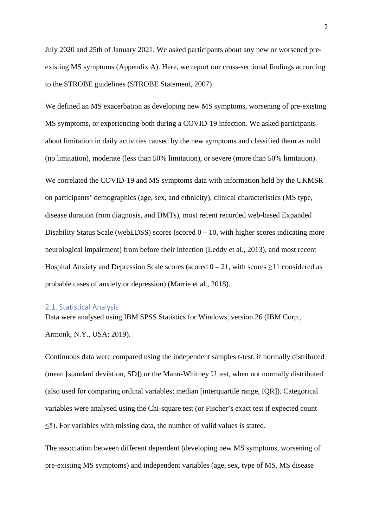July 2020 and 25th of January 2021. We asked participants about any new or worsened preexisting MS symptoms (Appendix A). Here, we report our cross-sectional findings according to the STROBE guidelines (STROBE Statement, 2007).

We defined an MS exacerbation as developing new MS symptoms, worsening of pre-existing MS symptoms, or experiencing both during a COVID-19 infection. We asked participants about limitation in daily activities caused by the new symptoms and classified them as mild (no limitation), moderate (less than 50% limitation), or severe (more than 50% limitation).

We correlated the COVID-19 and MS symptoms data with information held by the UKMSR on participants' demographics (age, sex, and ethnicity), clinical characteristics (MS type, disease duration from diagnosis, and DMTs), most recent recorded web-based Expanded Disability Status Scale (webEDSS) scores (scored  $0 - 10$ , with higher scores indicating more neurological impairment) from before their infection (Leddy et al., 2013), and most recent Hospital Anxiety and Depression Scale scores (scored  $0 - 21$ , with scores  $\geq 11$  considered as probable cases of anxiety or depression) (Marrie et al., 2018).

#### 2.1. Statistical Analysis

Data were analysed using IBM SPSS Statistics for Windows, version 26 (IBM Corp., Armonk, N.Y., USA; 2019).

Continuous data were compared using the independent samples t-test, if normally distributed (mean [standard deviation, SD]) or the Mann-Whitney U test, when not normally distributed (also used for comparing ordinal variables; median [interquartile range, IQR]). Categorical variables were analysed using the Chi-square test (or Fischer's exact test if expected count ≤5). For variables with missing data, the number of valid values is stated.

The association between different dependent (developing new MS symptoms, worsening of pre-existing MS symptoms) and independent variables (age, sex, type of MS, MS disease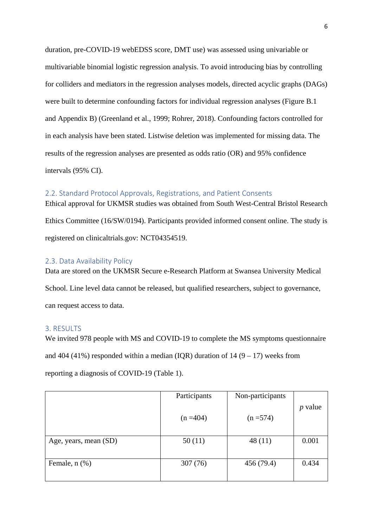duration, pre-COVID-19 webEDSS score, DMT use) was assessed using univariable or multivariable binomial logistic regression analysis. To avoid introducing bias by controlling for colliders and mediators in the regression analyses models, directed acyclic graphs (DAGs) were built to determine confounding factors for individual regression analyses (Figure B.1 and Appendix B) (Greenland et al., 1999; Rohrer, 2018). Confounding factors controlled for in each analysis have been stated. Listwise deletion was implemented for missing data. The results of the regression analyses are presented as odds ratio (OR) and 95% confidence intervals (95% CI).

#### 2.2. Standard Protocol Approvals, Registrations, and Patient Consents

Ethical approval for UKMSR studies was obtained from South West-Central Bristol Research Ethics Committee (16/SW/0194). Participants provided informed consent online. The study is registered on clinicaltrials.gov: NCT04354519.

#### 2.3. Data Availability Policy

Data are stored on the UKMSR Secure e-Research Platform at Swansea University Medical School. Line level data cannot be released, but qualified researchers, subject to governance, can request access to data.

#### 3. RESULTS

We invited 978 people with MS and COVID-19 to complete the MS symptoms questionnaire and 404 (41%) responded within a median (IQR) duration of  $14 (9 - 17)$  weeks from reporting a diagnosis of COVID-19 (Table 1).

|                       | Participants | Non-participants |           |
|-----------------------|--------------|------------------|-----------|
|                       | $(n = 404)$  | $(n = 574)$      | $p$ value |
| Age, years, mean (SD) | 50(11)       | 48(11)           | 0.001     |
|                       |              |                  |           |
| Female, $n$ $(\%)$    | 307 (76)     | 456 (79.4)       | 0.434     |
|                       |              |                  |           |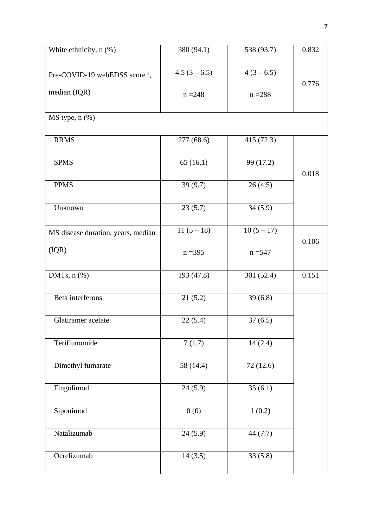| White ethnicity, $n$ $(\%)$               | 380 (94.1)   | 538 (93.7)   | 0.832 |
|-------------------------------------------|--------------|--------------|-------|
| Pre-COVID-19 webEDSS score <sup>a</sup> , | $4.5(3-6.5)$ | $4(3-6.5)$   | 0.776 |
| median $(IQR)$                            | $n = 248$    | $n = 288$    |       |
| MS type, n (%)                            |              |              |       |
| <b>RRMS</b>                               | 277(68.6)    | 415(72.3)    |       |
| <b>SPMS</b>                               | 65(16.1)     | 99 (17.2)    | 0.018 |
| <b>PPMS</b>                               | 39(9.7)      | 26(4.5)      |       |
| Unknown                                   | 23(5.7)      | 34(5.9)      |       |
| MS disease duration, years, median        | $11(5-18)$   | $10(5 - 17)$ | 0.106 |
| (IQR)                                     | $n = 395$    | $n = 547$    |       |
| DMTs, $n$ $%$                             | 193 (47.8)   | 301 (52.4)   | 0.151 |
| Beta interferons                          | 21(5.2)      | 39(6.8)      |       |
| Glatiramer acetate                        | 22(5.4)      | 37(6.5)      |       |
| Teriflunomide                             | 7(1.7)       | 14(2.4)      |       |
| Dimethyl fumarate                         | 58 (14.4)    | 72(12.6)     |       |
| Fingolimod                                | 24(5.9)      | 35(6.1)      |       |
| Siponimod                                 | 0(0)         | 1(0.2)       |       |
| Natalizumab                               | 24(5.9)      | 44 $(7.7)$   |       |
| Ocrelizumab                               | 14(3.5)      | 33(5.8)      |       |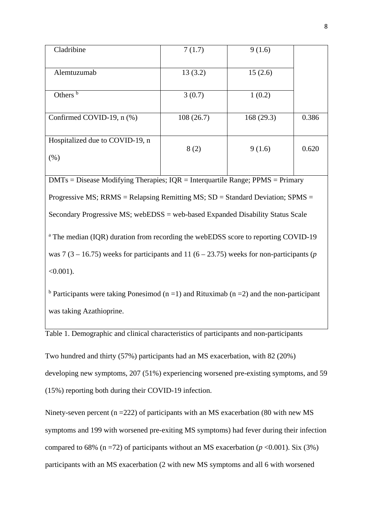| Cladribine                                                                                    | 7(1.7)    | 9(1.6)     |       |
|-----------------------------------------------------------------------------------------------|-----------|------------|-------|
| Alemtuzumab                                                                                   | 13(3.2)   | 15(2.6)    |       |
| Others <sup>b</sup>                                                                           | 3(0.7)    | 1(0.2)     |       |
| Confirmed COVID-19, n (%)                                                                     | 108(26.7) | 168 (29.3) | 0.386 |
| Hospitalized due to COVID-19, n                                                               | 8(2)      | 9(1.6)     | 0.620 |
| $(\% )$                                                                                       |           |            |       |
| $DMTs = Disease Modifying Therapies; IQR = Interquartile Range; PPMS = Primary$               |           |            |       |
| Progressive MS; RRMS = Relapsing Remitting MS; $SD = Standard Deviation$ ; SPMS =             |           |            |       |
| Secondary Progressive MS; webEDSS = web-based Expanded Disability Status Scale                |           |            |       |
| <sup>a</sup> The median (IQR) duration from recording the webEDSS score to reporting COVID-19 |           |            |       |
| was 7 (3 – 16.75) weeks for participants and 11 (6 – 23.75) weeks for non-participants (p     |           |            |       |
| $<0.001$ ).                                                                                   |           |            |       |

<sup>b</sup> Participants were taking Ponesimod (n =1) and Rituximab (n =2) and the non-participant was taking Azathioprine.

Table 1. Demographic and clinical characteristics of participants and non-participants

Two hundred and thirty (57%) participants had an MS exacerbation, with 82 (20%) developing new symptoms, 207 (51%) experiencing worsened pre-existing symptoms, and 59 (15%) reporting both during their COVID-19 infection.

Ninety-seven percent (n =222) of participants with an MS exacerbation (80 with new MS symptoms and 199 with worsened pre-exiting MS symptoms) had fever during their infection compared to 68% ( $n = 72$ ) of participants without an MS exacerbation ( $p < 0.001$ ). Six (3%) participants with an MS exacerbation (2 with new MS symptoms and all 6 with worsened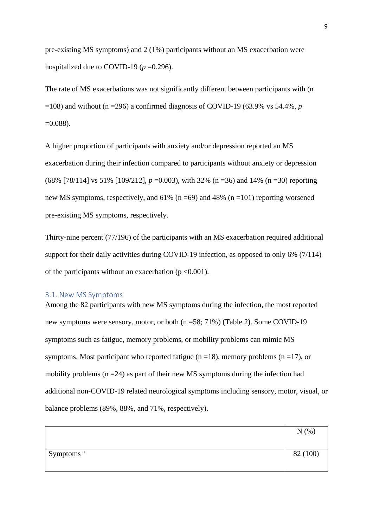pre-existing MS symptoms) and 2 (1%) participants without an MS exacerbation were hospitalized due to COVID-19 ( $p = 0.296$ ).

The rate of MS exacerbations was not significantly different between participants with (n  $=108$ ) and without (n  $=296$ ) a confirmed diagnosis of COVID-19 (63.9% vs 54.4%, *p*  $=0.088$ ).

A higher proportion of participants with anxiety and/or depression reported an MS exacerbation during their infection compared to participants without anxiety or depression (68% [78/114] vs 51% [109/212], *p* =0.003), with 32% (n =36) and 14% (n =30) reporting new MS symptoms, respectively, and  $61\%$  (n =69) and 48% (n =101) reporting worsened pre-existing MS symptoms, respectively.

Thirty-nine percent (77/196) of the participants with an MS exacerbation required additional support for their daily activities during COVID-19 infection, as opposed to only 6% (7/114) of the participants without an exacerbation ( $p \le 0.001$ ).

#### 3.1. New MS Symptoms

Among the 82 participants with new MS symptoms during the infection, the most reported new symptoms were sensory, motor, or both (n =58; 71%) (Table 2). Some COVID-19 symptoms such as fatigue, memory problems, or mobility problems can mimic MS symptoms. Most participant who reported fatigue  $(n = 18)$ , memory problems  $(n = 17)$ , or mobility problems ( $n = 24$ ) as part of their new MS symptoms during the infection had additional non-COVID-19 related neurological symptoms including sensory, motor, visual, or balance problems (89%, 88%, and 71%, respectively).

|                       | N(% )    |
|-----------------------|----------|
|                       |          |
| Symptoms <sup>a</sup> | 82 (100) |
|                       |          |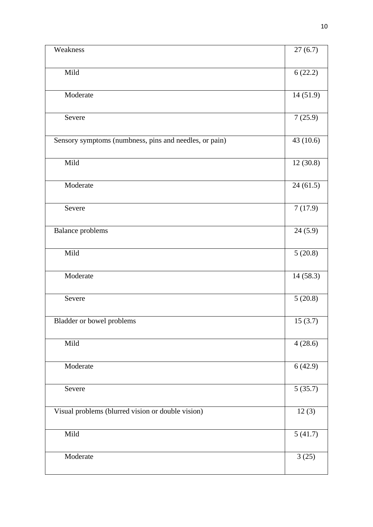| Weakness                                               | $\overline{27(6.7)}$ |
|--------------------------------------------------------|----------------------|
|                                                        |                      |
| Mild                                                   | 6(22.2)              |
| Moderate                                               | 14(51.9)             |
| Severe                                                 | 7(25.9)              |
| Sensory symptoms (numbness, pins and needles, or pain) | 43 (10.6)            |
| Mild                                                   | 12(30.8)             |
| Moderate                                               | 24(61.5)             |
| Severe                                                 | 7(17.9)              |
| <b>Balance</b> problems                                | 24(5.9)              |
| Mild                                                   | 5(20.8)              |
| Moderate                                               | 14(58.3)             |
| Severe                                                 | 5(20.8)              |
| Bladder or bowel problems                              | 15(3.7)              |
| Mild                                                   | 4(28.6)              |
| Moderate                                               | 6(42.9)              |
| Severe                                                 | 5(35.7)              |
| Visual problems (blurred vision or double vision)      | 12(3)                |
| Mild                                                   | 5(41.7)              |
| Moderate                                               | 3(25)                |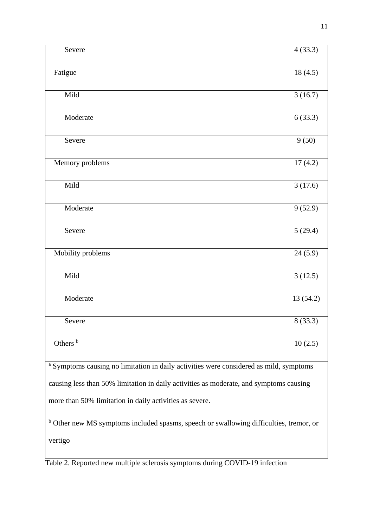| Severe                                                                                            | 4(33.3)   |
|---------------------------------------------------------------------------------------------------|-----------|
| Fatigue                                                                                           | 18(4.5)   |
| Mild                                                                                              | 3(16.7)   |
| Moderate                                                                                          | 6(33.3)   |
| Severe                                                                                            | 9(50)     |
| Memory problems                                                                                   | 17(4.2)   |
| Mild                                                                                              | 3(17.6)   |
| Moderate                                                                                          | 9(52.9)   |
| Severe                                                                                            | 5(29.4)   |
| Mobility problems                                                                                 | 24(5.9)   |
| Mild                                                                                              | 3(12.5)   |
| Moderate                                                                                          | 13 (54.2) |
| Severe                                                                                            | 8(33.3)   |
| Others $\frac{b}{b}$                                                                              | 10(2.5)   |
| <sup>a</sup> Symptoms causing no limitation in daily activities were considered as mild, symptoms |           |
| causing less than 50% limitation in daily activities as moderate, and symptoms causing            |           |
| more than 50% limitation in daily activities as severe.                                           |           |
| <sup>b</sup> Other new MS symptoms included spasms, speech or swallowing difficulties, tremor, or |           |
| vertigo                                                                                           |           |

Table 2. Reported new multiple sclerosis symptoms during COVID-19 infection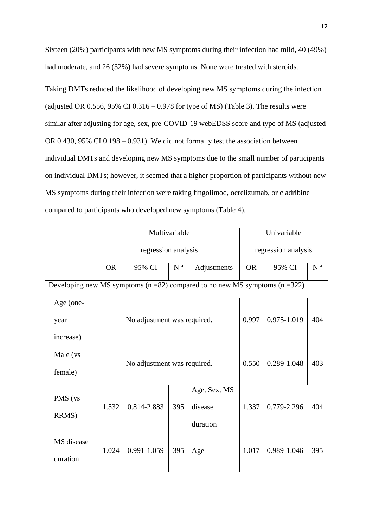Sixteen (20%) participants with new MS symptoms during their infection had mild, 40 (49%) had moderate, and 26 (32%) had severe symptoms. None were treated with steroids.

Taking DMTs reduced the likelihood of developing new MS symptoms during the infection (adjusted OR  $0.556$ ,  $95\%$  CI  $0.316 - 0.978$  for type of MS) (Table 3). The results were similar after adjusting for age, sex, pre-COVID-19 webEDSS score and type of MS (adjusted OR 0.430, 95% CI 0.198 – 0.931). We did not formally test the association between individual DMTs and developing new MS symptoms due to the small number of participants on individual DMTs; however, it seemed that a higher proportion of participants without new MS symptoms during their infection were taking fingolimod, ocrelizumab, or cladribine compared to participants who developed new symptoms (Table 4).

|                                                                                      | Multivariable |                             |                | Univariable  |                     |             |                |
|--------------------------------------------------------------------------------------|---------------|-----------------------------|----------------|--------------|---------------------|-------------|----------------|
|                                                                                      |               | regression analysis         |                |              | regression analysis |             |                |
|                                                                                      | <b>OR</b>     | 95% CI                      | N <sup>a</sup> | Adjustments  | <b>OR</b>           | 95% CI      | N <sup>a</sup> |
| Developing new MS symptoms ( $n = 82$ ) compared to no new MS symptoms ( $n = 322$ ) |               |                             |                |              |                     |             |                |
| Age (one-                                                                            |               |                             |                |              |                     |             |                |
| year                                                                                 |               | No adjustment was required. |                |              | 0.997               | 0.975-1.019 | 404            |
| increase)                                                                            |               |                             |                |              |                     |             |                |
| Male (vs                                                                             |               |                             | 0.550          | 0.289-1.048  | 403                 |             |                |
| female)                                                                              |               | No adjustment was required. |                |              |                     |             |                |
| PMS (vs                                                                              |               |                             |                | Age, Sex, MS |                     |             |                |
|                                                                                      | 1.532         | 0.814-2.883                 | 395            | disease      | 1.337               | 0.779-2.296 | 404            |
| RRMS)                                                                                |               |                             |                | duration     |                     |             |                |
| MS disease                                                                           | 1.024         | 0.991-1.059                 | 395            |              | 1.017               | 0.989-1.046 | 395            |
| duration                                                                             |               |                             |                | Age          |                     |             |                |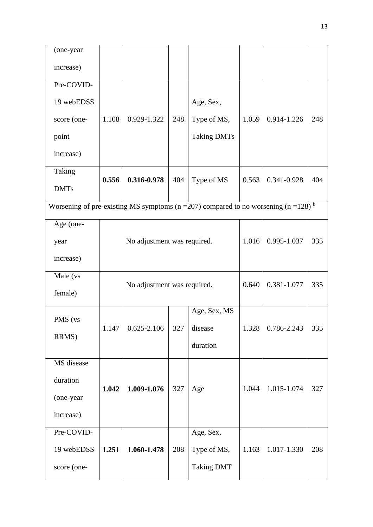| (one-year   |       |                             |     |                                                                                              |             |             |     |  |
|-------------|-------|-----------------------------|-----|----------------------------------------------------------------------------------------------|-------------|-------------|-----|--|
| increase)   |       |                             |     |                                                                                              |             |             |     |  |
| Pre-COVID-  |       |                             |     |                                                                                              |             |             |     |  |
| 19 webEDSS  |       |                             |     | Age, Sex,                                                                                    |             |             |     |  |
| score (one- | 1.108 | 0.929-1.322                 | 248 | Type of MS,                                                                                  | 1.059       | 0.914-1.226 | 248 |  |
| point       |       |                             |     | <b>Taking DMTs</b>                                                                           |             |             |     |  |
| increase)   |       |                             |     |                                                                                              |             |             |     |  |
| Taking      | 0.556 | 0.316-0.978                 | 404 | Type of MS                                                                                   | 0.563       | 0.341-0.928 | 404 |  |
| <b>DMTs</b> |       |                             |     |                                                                                              |             |             |     |  |
|             |       |                             |     | Worsening of pre-existing MS symptoms ( $n = 207$ ) compared to no worsening ( $n = 128$ ) b |             |             |     |  |
| Age (one-   |       |                             |     |                                                                                              |             |             |     |  |
| year        |       | No adjustment was required. |     |                                                                                              | 1.016       | 0.995-1.037 | 335 |  |
| increase)   |       |                             |     |                                                                                              |             |             |     |  |
| Male (vs    |       | No adjustment was required. |     | 0.640                                                                                        | 0.381-1.077 | 335         |     |  |
| female)     |       |                             |     |                                                                                              |             |             |     |  |
|             |       |                             |     | Age, Sex, MS                                                                                 |             |             |     |  |
| PMS (vs     | 1.147 | $0.625 - 2.106$             | 327 | disease                                                                                      | 1.328       | 0.786-2.243 | 335 |  |
| RRMS)       |       |                             |     | duration                                                                                     |             |             |     |  |
| MS disease  |       |                             |     |                                                                                              |             |             |     |  |
| duration    |       |                             |     |                                                                                              |             |             |     |  |
| (one-year   | 1.042 | 1.009-1.076                 | 327 | Age                                                                                          | 1.044       | 1.015-1.074 | 327 |  |
| increase)   |       |                             |     |                                                                                              |             |             |     |  |
| Pre-COVID-  |       |                             |     | Age, Sex,                                                                                    |             |             |     |  |
| 19 webEDSS  | 1.251 | 1.060-1.478                 | 208 | Type of MS,                                                                                  | 1.163       | 1.017-1.330 | 208 |  |
| score (one- |       |                             |     | <b>Taking DMT</b>                                                                            |             |             |     |  |
|             |       |                             |     |                                                                                              |             |             |     |  |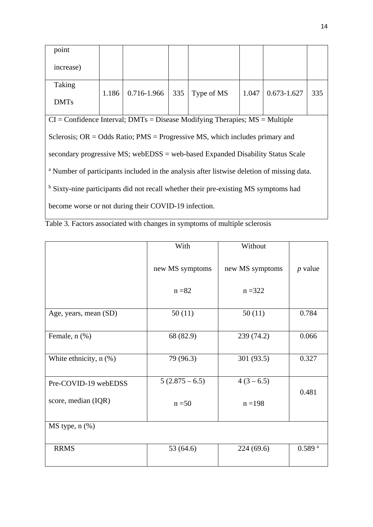| point                                                                                                 |       |             |     |                                                                                    |       |                 |     |
|-------------------------------------------------------------------------------------------------------|-------|-------------|-----|------------------------------------------------------------------------------------|-------|-----------------|-----|
| increase)                                                                                             |       |             |     |                                                                                    |       |                 |     |
| Taking                                                                                                |       |             |     |                                                                                    |       |                 |     |
| <b>DMTs</b>                                                                                           | 1.186 | 0.716-1.966 | 335 | Type of MS                                                                         | 1.047 | $0.673 - 1.627$ | 335 |
|                                                                                                       |       |             |     | $CI =$ Confidence Interval; DMTs = Disease Modifying Therapies; $MS =$ Multiple    |       |                 |     |
|                                                                                                       |       |             |     | Sclerosis; $OR = Odds Ratio$ ; $PMS = Progressive MS$ , which includes primary and |       |                 |     |
| secondary progressive MS; webEDSS = web-based Expanded Disability Status Scale                        |       |             |     |                                                                                    |       |                 |     |
| <sup>a</sup> Number of participants included in the analysis after listwise deletion of missing data. |       |             |     |                                                                                    |       |                 |     |
| <sup>b</sup> Sixty-nine participants did not recall whether their pre-existing MS symptoms had        |       |             |     |                                                                                    |       |                 |     |
| become worse or not during their COVID-19 infection.                                                  |       |             |     |                                                                                    |       |                 |     |
|                                                                                                       |       |             |     |                                                                                    |       |                 |     |

|                             | With            | Without         |                    |
|-----------------------------|-----------------|-----------------|--------------------|
|                             | new MS symptoms | new MS symptoms | $p$ value          |
|                             | $n = 82$        | $n = 322$       |                    |
| Age, years, mean (SD)       | 50(11)          | 50(11)          | 0.784              |
| Female, n (%)               | 68 (82.9)       | 239 (74.2)      | 0.066              |
| White ethnicity, $n$ $(\%)$ | 79 (96.3)       | 301 (93.5)      | 0.327              |
| Pre-COVID-19 webEDSS        | $5(2.875-6.5)$  | $4(3-6.5)$      | 0.481              |
| score, median (IQR)         | $n = 50$        | $n = 198$       |                    |
| $MS$ type, $n$ $%$          |                 |                 |                    |
| <b>RRMS</b>                 | 53 (64.6)       | 224(69.6)       | 0.589 <sup>a</sup> |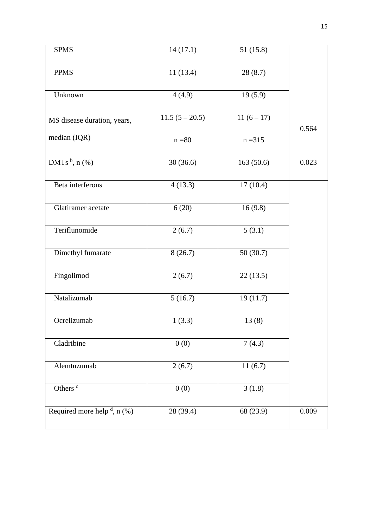| <b>SPMS</b>                       | 14(17.1)         | 51 (15.8)  |       |
|-----------------------------------|------------------|------------|-------|
| <b>PPMS</b>                       | 11(13.4)         | 28(8.7)    |       |
| Unknown                           | 4(4.9)           | 19(5.9)    |       |
| MS disease duration, years,       | $11.5(5 - 20.5)$ | $11(6-17)$ |       |
| median (IQR)                      | $n = 80$         | $n = 315$  | 0.564 |
| DMTs $b$ , n $(\%)$               | 30(36.6)         | 163(50.6)  | 0.023 |
| Beta interferons                  | 4(13.3)          | 17(10.4)   |       |
| Glatiramer acetate                | 6(20)            | 16(9.8)    |       |
| Teriflunomide                     | 2(6.7)           | 5(3.1)     |       |
| Dimethyl fumarate                 | 8(26.7)          | 50(30.7)   |       |
| Fingolimod                        | 2(6.7)           | 22(13.5)   |       |
| Natalizumab                       | 5(16.7)          | 19(11.7)   |       |
| Ocrelizumab                       | 1(3.3)           | 13(8)      |       |
| Cladribine                        | 0(0)             | 7(4.3)     |       |
| Alemtuzumab                       | 2(6.7)           | 11(6.7)    |       |
| Others <sup>c</sup>               | 0(0)             | 3(1.8)     |       |
| Required more help $d$ , n $(\%)$ | 28 (39.4)        | 68 (23.9)  | 0.009 |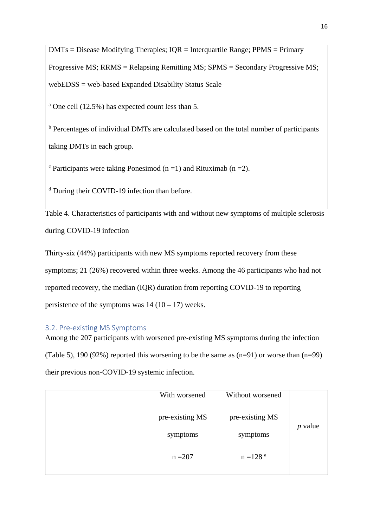$DMTs = Discase$  Modifying Therapies;  $IQR = Integrating Range$ ; PPMS = Primary Progressive MS; RRMS = Relapsing Remitting MS; SPMS = Secondary Progressive MS; webEDSS = web-based Expanded Disability Status Scale

<sup>a</sup> One cell (12.5%) has expected count less than 5.

<sup>b</sup> Percentages of individual DMTs are calculated based on the total number of participants taking DMTs in each group.

 $\textdegree$  Participants were taking Ponesimod (n =1) and Rituximab (n =2).

<sup>d</sup> During their COVID-19 infection than before.

Table 4. Characteristics of participants with and without new symptoms of multiple sclerosis during COVID-19 infection

Thirty-six (44%) participants with new MS symptoms reported recovery from these symptoms; 21 (26%) recovered within three weeks. Among the 46 participants who had not reported recovery, the median (IQR) duration from reporting COVID-19 to reporting persistence of the symptoms was  $14 (10 - 17)$  weeks.

## 3.2. Pre-existing MS Symptoms

Among the 207 participants with worsened pre-existing MS symptoms during the infection (Table 5), 190 (92%) reported this worsening to be the same as (n=91) or worse than (n=99) their previous non-COVID-19 systemic infection.

| With worsened   | Without worsened       |           |
|-----------------|------------------------|-----------|
| pre-existing MS | pre-existing MS        | $p$ value |
| symptoms        | symptoms               |           |
| $n = 207$       | $n = 128$ <sup>a</sup> |           |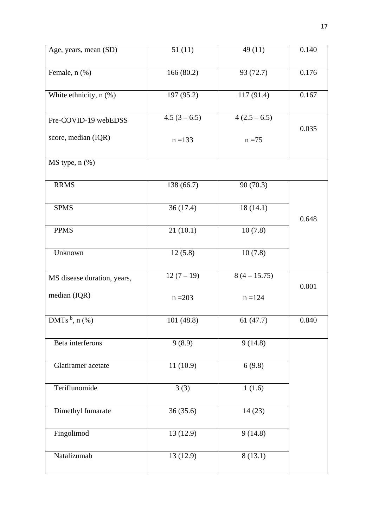| Age, years, mean (SD)       | 51(11)       | 49(11)       | 0.140 |
|-----------------------------|--------------|--------------|-------|
| Female, n (%)               | 166(80.2)    | 93 (72.7)    | 0.176 |
| White ethnicity, n (%)      | 197 (95.2)   | 117 (91.4)   | 0.167 |
| Pre-COVID-19 webEDSS        | $4.5(3-6.5)$ | $4(2.5-6.5)$ | 0.035 |
| score, median (IQR)         | $n = 133$    | $n = 75$     |       |
| $MS$ type, $n$ $%$          |              |              |       |
| <b>RRMS</b>                 | 138 (66.7)   | 90(70.3)     | 0.648 |
| <b>SPMS</b>                 | 36(17.4)     | 18(14.1)     |       |
| <b>PPMS</b>                 | 21(10.1)     | 10(7.8)      |       |
| Unknown                     | 12(5.8)      | 10(7.8)      |       |
| MS disease duration, years, | $12(7-19)$   | $8(4-15.75)$ | 0.001 |
| median (IQR)                | $n = 203$    | $n = 124$    |       |
| DMTs $^{\rm b}$ , n $(\% )$ | 101 (48.8)   | 61(47.7)     | 0.840 |
| Beta interferons            | 9(8.9)       | 9(14.8)      |       |
| Glatiramer acetate          | 11(10.9)     | 6(9.8)       |       |
| Teriflunomide               | 3(3)         | 1(1.6)       |       |
| Dimethyl fumarate           | 36(35.6)     | 14(23)       |       |
| Fingolimod                  | 13 (12.9)    | 9(14.8)      |       |
| Natalizumab                 | 13(12.9)     | 8(13.1)      |       |
|                             |              |              |       |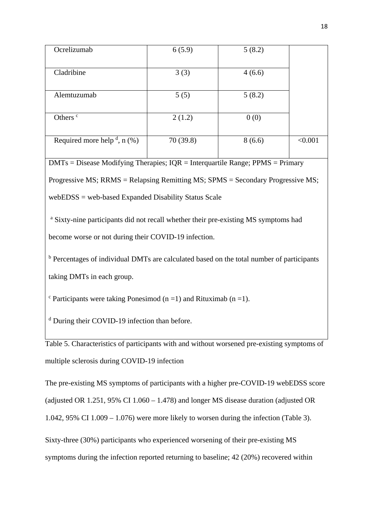| Ocrelizumab                       | 6(5.9)    | 5(8.2) |         |
|-----------------------------------|-----------|--------|---------|
|                                   |           |        |         |
| Cladribine                        | 3(3)      | 4(6.6) |         |
|                                   |           |        |         |
| Alemtuzumab                       | 5(5)      | 5(8.2) |         |
|                                   |           |        |         |
| Others <sup>c</sup>               | 2(1.2)    | 0(0)   |         |
|                                   |           |        |         |
| Required more help $d$ , n $(\%)$ | 70 (39.8) | 8(6.6) | < 0.001 |
|                                   |           |        |         |

 $DMTs = Disease Modifying Therapies; IOR = Interquartile Range; PPMS = Primary$ Progressive MS; RRMS = Relapsing Remitting MS; SPMS = Secondary Progressive MS; webEDSS = web-based Expanded Disability Status Scale

<sup>a</sup> Sixty-nine participants did not recall whether their pre-existing MS symptoms had become worse or not during their COVID-19 infection.

<sup>b</sup> Percentages of individual DMTs are calculated based on the total number of participants taking DMTs in each group.

 $\textdegree$  Participants were taking Ponesimod (n =1) and Rituximab (n =1).

<sup>d</sup> During their COVID-19 infection than before.

Table 5. Characteristics of participants with and without worsened pre-existing symptoms of multiple sclerosis during COVID-19 infection

The pre-existing MS symptoms of participants with a higher pre-COVID-19 webEDSS score (adjusted OR 1.251, 95% CI 1.060 – 1.478) and longer MS disease duration (adjusted OR 1.042, 95% CI 1.009 – 1.076) were more likely to worsen during the infection (Table 3).

Sixty-three (30%) participants who experienced worsening of their pre-existing MS symptoms during the infection reported returning to baseline; 42 (20%) recovered within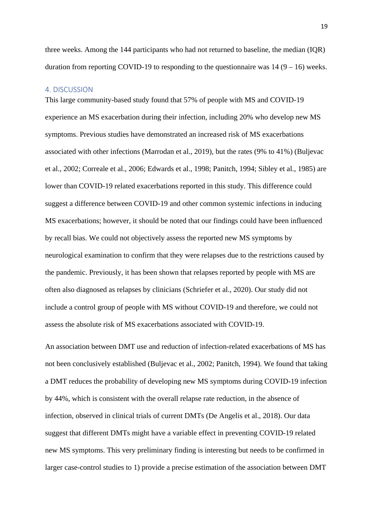three weeks. Among the 144 participants who had not returned to baseline, the median (IQR) duration from reporting COVID-19 to responding to the questionnaire was  $14 (9 - 16)$  weeks.

#### 4. DISCUSSION

This large community-based study found that 57% of people with MS and COVID-19 experience an MS exacerbation during their infection, including 20% who develop new MS symptoms. Previous studies have demonstrated an increased risk of MS exacerbations associated with other infections (Marrodan et al., 2019), but the rates (9% to 41%) (Buljevac et al., 2002; Correale et al., 2006; Edwards et al., 1998; Panitch, 1994; Sibley et al., 1985) are lower than COVID-19 related exacerbations reported in this study. This difference could suggest a difference between COVID-19 and other common systemic infections in inducing MS exacerbations; however, it should be noted that our findings could have been influenced by recall bias. We could not objectively assess the reported new MS symptoms by neurological examination to confirm that they were relapses due to the restrictions caused by the pandemic. Previously, it has been shown that relapses reported by people with MS are often also diagnosed as relapses by clinicians (Schriefer et al., 2020). Our study did not include a control group of people with MS without COVID-19 and therefore, we could not assess the absolute risk of MS exacerbations associated with COVID-19.

An association between DMT use and reduction of infection-related exacerbations of MS has not been conclusively established (Buljevac et al., 2002; Panitch, 1994). We found that taking a DMT reduces the probability of developing new MS symptoms during COVID-19 infection by 44%, which is consistent with the overall relapse rate reduction, in the absence of infection, observed in clinical trials of current DMTs (De Angelis et al., 2018). Our data suggest that different DMTs might have a variable effect in preventing COVID-19 related new MS symptoms. This very preliminary finding is interesting but needs to be confirmed in larger case-control studies to 1) provide a precise estimation of the association between DMT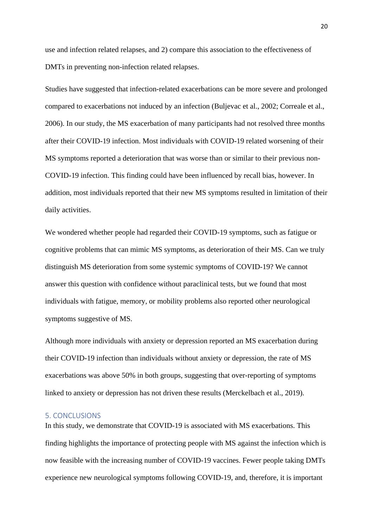use and infection related relapses, and 2) compare this association to the effectiveness of DMTs in preventing non-infection related relapses.

Studies have suggested that infection-related exacerbations can be more severe and prolonged compared to exacerbations not induced by an infection (Buljevac et al., 2002; Correale et al., 2006). In our study, the MS exacerbation of many participants had not resolved three months after their COVID-19 infection. Most individuals with COVID-19 related worsening of their MS symptoms reported a deterioration that was worse than or similar to their previous non-COVID-19 infection. This finding could have been influenced by recall bias, however. In addition, most individuals reported that their new MS symptoms resulted in limitation of their daily activities.

We wondered whether people had regarded their COVID-19 symptoms, such as fatigue or cognitive problems that can mimic MS symptoms, as deterioration of their MS. Can we truly distinguish MS deterioration from some systemic symptoms of COVID-19? We cannot answer this question with confidence without paraclinical tests, but we found that most individuals with fatigue, memory, or mobility problems also reported other neurological symptoms suggestive of MS.

Although more individuals with anxiety or depression reported an MS exacerbation during their COVID-19 infection than individuals without anxiety or depression, the rate of MS exacerbations was above 50% in both groups, suggesting that over-reporting of symptoms linked to anxiety or depression has not driven these results (Merckelbach et al., 2019).

### 5. CONCLUSIONS

In this study, we demonstrate that COVID-19 is associated with MS exacerbations. This finding highlights the importance of protecting people with MS against the infection which is now feasible with the increasing number of COVID-19 vaccines. Fewer people taking DMTs experience new neurological symptoms following COVID-19, and, therefore, it is important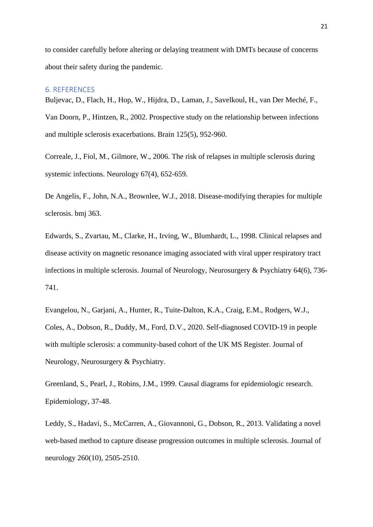to consider carefully before altering or delaying treatment with DMTs because of concerns about their safety during the pandemic.

#### 6. REFERENCES

Buljevac, D., Flach, H., Hop, W., Hijdra, D., Laman, J., Savelkoul, H., van Der Meché, F., Van Doorn, P., Hintzen, R., 2002. Prospective study on the relationship between infections and multiple sclerosis exacerbations. Brain 125(5), 952-960.

Correale, J., Fiol, M., Gilmore, W., 2006. The risk of relapses in multiple sclerosis during systemic infections. Neurology 67(4), 652-659.

De Angelis, F., John, N.A., Brownlee, W.J., 2018. Disease-modifying therapies for multiple sclerosis. bmj 363.

Edwards, S., Zvartau, M., Clarke, H., Irving, W., Blumhardt, L., 1998. Clinical relapses and disease activity on magnetic resonance imaging associated with viral upper respiratory tract infections in multiple sclerosis. Journal of Neurology, Neurosurgery & Psychiatry 64(6), 736- 741.

Evangelou, N., Garjani, A., Hunter, R., Tuite-Dalton, K.A., Craig, E.M., Rodgers, W.J., Coles, A., Dobson, R., Duddy, M., Ford, D.V., 2020. Self-diagnosed COVID-19 in people with multiple sclerosis: a community-based cohort of the UK MS Register. Journal of Neurology, Neurosurgery & Psychiatry.

Greenland, S., Pearl, J., Robins, J.M., 1999. Causal diagrams for epidemiologic research. Epidemiology, 37-48.

Leddy, S., Hadavi, S., McCarren, A., Giovannoni, G., Dobson, R., 2013. Validating a novel web-based method to capture disease progression outcomes in multiple sclerosis. Journal of neurology 260(10), 2505-2510.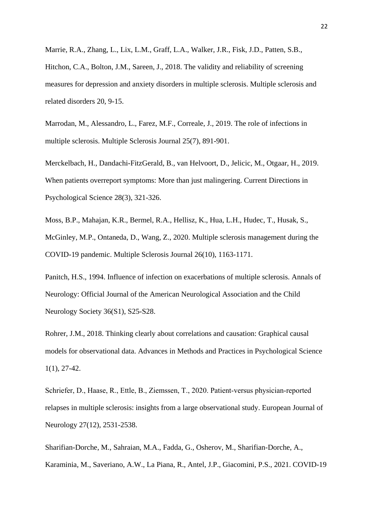Marrie, R.A., Zhang, L., Lix, L.M., Graff, L.A., Walker, J.R., Fisk, J.D., Patten, S.B., Hitchon, C.A., Bolton, J.M., Sareen, J., 2018. The validity and reliability of screening measures for depression and anxiety disorders in multiple sclerosis. Multiple sclerosis and related disorders 20, 9-15.

Marrodan, M., Alessandro, L., Farez, M.F., Correale, J., 2019. The role of infections in multiple sclerosis. Multiple Sclerosis Journal 25(7), 891-901.

Merckelbach, H., Dandachi-FitzGerald, B., van Helvoort, D., Jelicic, M., Otgaar, H., 2019. When patients overreport symptoms: More than just malingering. Current Directions in Psychological Science 28(3), 321-326.

Moss, B.P., Mahajan, K.R., Bermel, R.A., Hellisz, K., Hua, L.H., Hudec, T., Husak, S., McGinley, M.P., Ontaneda, D., Wang, Z., 2020. Multiple sclerosis management during the COVID-19 pandemic. Multiple Sclerosis Journal 26(10), 1163-1171.

Panitch, H.S., 1994. Influence of infection on exacerbations of multiple sclerosis. Annals of Neurology: Official Journal of the American Neurological Association and the Child Neurology Society 36(S1), S25-S28.

Rohrer, J.M., 2018. Thinking clearly about correlations and causation: Graphical causal models for observational data. Advances in Methods and Practices in Psychological Science 1(1), 27-42.

Schriefer, D., Haase, R., Ettle, B., Ziemssen, T., 2020. Patient‐versus physician‐reported relapses in multiple sclerosis: insights from a large observational study. European Journal of Neurology 27(12), 2531-2538.

Sharifian-Dorche, M., Sahraian, M.A., Fadda, G., Osherov, M., Sharifian-Dorche, A., Karaminia, M., Saveriano, A.W., La Piana, R., Antel, J.P., Giacomini, P.S., 2021. COVID-19